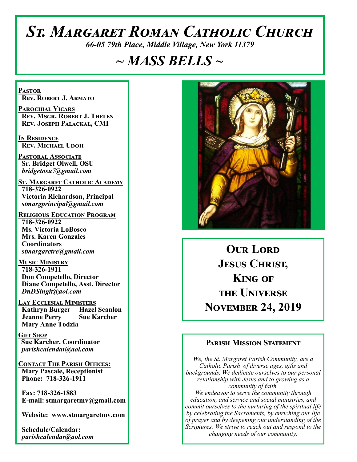# *St. Margaret Roman Catholic Church*

*66-05 79th Place, Middle Village, New York 11379*

# *~ MASS BELLS ~*

**Pastor Rev. Robert J. Armato**

**Parochial Vicars Rev. Msgr. Robert J. Thelen Rev. Joseph Palackal, CMI**

**In Residence Rev. Michael Udoh**

**Pastoral Associate Sr. Bridget Olwell, OSU**  *bridgetosu7@gmail.com*

**St. Margaret Catholic Academy 718-326-0922 Victoria Richardson, Principal**  *stmargprincipal@gmail.com*

**Religious Education Program 718-326-0922 Ms. Victoria LoBosco Mrs. Karen Gonzales Coordinators** *stmargaretre@gmail.com*

**Music Ministry 718-326-1911 Don Competello, Director Diane Competello, Asst. Director** *DnDSingit@aol.com*

**Lay Ecclesial Ministers Kathryn Burger Hazel Scanlon**<br>**Jeanne Perry Sue Karcher Jeanne Perry Mary Anne Todzia**

**Gift Shop Sue Karcher, Coordinator** *parishcalendar@aol.com*

**Contact The Parish Offices: Mary Pascale, Receptionist Phone: 718-326-1911** 

 **Fax: 718-326-1883 E-mail: stmargaretmv@gmail.com**

 **Website: www.stmargaretmv.com**

 **Schedule/Calendar:** *parishcalendar@aol.com* 



**OUR LORD Jesus Christ, King of the Universe November 24, 2019** 

#### **Parish Mission Statement**

*We, the St. Margaret Parish Community, are a Catholic Parish of diverse ages, gifts and backgrounds. We dedicate ourselves to our personal relationship with Jesus and to growing as a community of faith. We endeavor to serve the community through education, and service and social ministries, and commit ourselves to the nurturing of the spiritual life by celebrating the Sacraments, by enriching our life of prayer and by deepening our understanding of the Scriptures. We strive to reach out and respond to the changing needs of our community.*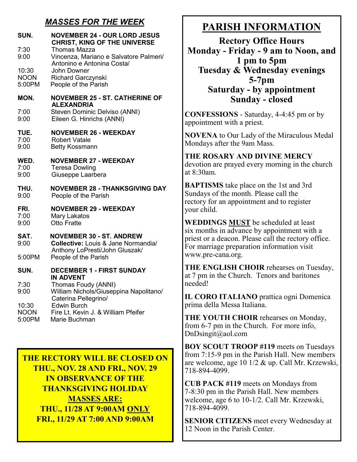## *MASSES FOR THE WEEK*

| SUN.<br>7:30<br>9:00 | <b>NOVEMBER 24 - OUR LORD JESUS</b><br><b>CHRIST, KING OF THE UNIVERSE</b><br><b>Thomas Mazza</b><br>Vincenza, Mariano e Salvatore Palmeri/<br>Antonino e Antonina Costa/ |
|----------------------|---------------------------------------------------------------------------------------------------------------------------------------------------------------------------|
| 10:30                | John Downer                                                                                                                                                               |
| <b>NOON</b>          | Richard Garczynski                                                                                                                                                        |
| 5:00PM               | People of the Parish                                                                                                                                                      |
| MON.                 | <b>NOVEMBER 25 - ST. CATHERINE OF</b><br><b>ALEXANDRIA</b>                                                                                                                |
| 7:00                 | Steven Dominic Delviso (ANNI)                                                                                                                                             |
| 9:00                 | Eileen G. Hinrichs (ANNI)                                                                                                                                                 |
| TUE.                 | <b>NOVEMBER 26 - WEEKDAY</b>                                                                                                                                              |
| 7:00                 | <b>Robert Vatale</b>                                                                                                                                                      |
| 9:00                 | <b>Betty Kossmann</b>                                                                                                                                                     |
| WED.                 | <b>NOVEMBER 27 - WEEKDAY</b>                                                                                                                                              |
| 7:00                 | <b>Teresa Dowling</b>                                                                                                                                                     |
| 9:00                 | Giuseppe Laarbera                                                                                                                                                         |
| THU.                 | <b>NOVEMBER 28 - THANKSGIVING DAY</b>                                                                                                                                     |
| 9:00                 | People of the Parish                                                                                                                                                      |
| FRI.                 | <b>NOVEMBER 29 - WEEKDAY</b>                                                                                                                                              |
| 7:00                 | Mary Lakatos                                                                                                                                                              |
| 9:00                 | Otto Fratte                                                                                                                                                               |
| SAT.<br>9:00         | <b>NOVEMBER 30 - ST. ANDREW</b><br><b>Collective: Louis &amp; Jane Normandia/</b><br>Anthony LoPresti/John Gluszak/                                                       |
| 5:00PM               | People of the Parish                                                                                                                                                      |
| SUN.                 | <b>DECEMBER 1 - FIRST SUNDAY</b><br><b>IN ADVENT</b>                                                                                                                      |
| 7:30<br>9:00         | Thomas Foudy (ANNI)<br>William Nichols/Giuseppina Napolitano/<br>Caterina Pellegrino/                                                                                     |
| 10:30                | <b>Edwin Burch</b>                                                                                                                                                        |
| <b>NOON</b>          | Fire Lt. Kevin J. & William Pfeifer                                                                                                                                       |
| 5:00PM               | Marie Buchman                                                                                                                                                             |

**THE RECTORY WILL BE CLOSED ON THU., NOV. 28 AND FRI., NOV. 29 IN OBSERVANCE OF THE THANKSGIVING HOLIDAY MASSES ARE: THU., 11/28 AT 9:00AM ONLY FRI., 11/29 AT 7:00 AND 9:00AM**

# **PARISH INFORMATION**

**Rectory Office Hours Monday - Friday - 9 am to Noon, and 1 pm to 5pm Tuesday & Wednesday evenings 5-7pm Saturday - by appointment Sunday - closed**

**CONFESSIONS** - Saturday, 4-4:45 pm or by appointment with a priest.

**NOVENA** to Our Lady of the Miraculous Medal Mondays after the 9am Mass.

#### **THE ROSARY AND DIVINE MERCY** devotion are prayed every morning in the church

at 8:30am. **BAPTISMS** take place on the 1st and 3rd Sundays of the month. Please call the rectory for an appointment and to register

your child.

**WEDDINGS MUST** be scheduled at least six months in advance by appointment with a priest or a deacon. Please call the rectory office. For marriage preparation information visit www.pre-cana.org.

**THE ENGLISH CHOIR** rehearses on Tuesday, at 7 pm in the Church. Tenors and baritones needed!

**IL CORO ITALIANO** prattica ogni Domenica prima della Messa Italiana.

**THE YOUTH CHOIR** rehearses on Monday, from 6-7 pm in the Church. For more info, DnDsingit@aol.com

**BOY SCOUT TROOP #119** meets on Tuesdays from 7:15-9 pm in the Parish Hall. New members are welcome, age 10 1/2 & up. Call Mr. Krzewski, 718-894-4099.

**CUB PACK #119** meets on Mondays from 7-8:30 pm in the Parish Hall. New members welcome, age 6 to 10-1/2. Call Mr. Krzewski, 718-894-4099.

**SENIOR CITIZENS** meet every Wednesday at 12 Noon in the Parish Center.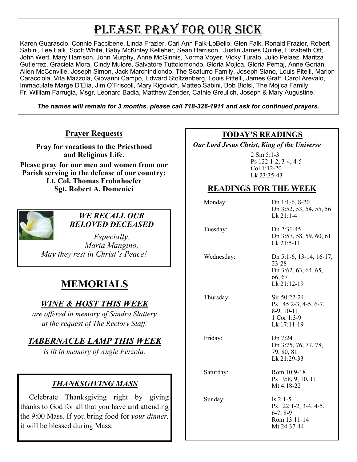# PLEASE PRAY FOR OUR SICK

Karen Guarascio, Connie Faccibene, Linda Frazier, Cari Ann Falk-LoBello, Glen Falk, Ronald Frazier, Robert Sabini, Lee Falk, Scott White, Baby McKinley Kelleher, Sean Harrison, Justin James Quirke, Elizabeth Ott, John Wert, Mary Harrison, John Murphy, Anne McGinnis, Norma Voyer, Vicky Turato, Julio Pelaez, Maritza Gutierrez, Graciela Mora, Cindy Mulore, Salvatore Tuttolomondo, Gloria Mojica, Gloria Pemaj, Anne Gorian, Allen McConville, Joseph Simon, Jack Marchindiondo, The Scaturro Family, Joseph Siano, Louis Pitelli, Marion Caracciola, Vita Mazzola, Giovanni Campo, Edward Stoltzenberg, Louis Pittelli, James Graff, Carol Arevalo, Immaculate Marge D'Elia, Jim O'Friscoll, Mary Rigovich, Matteo Sabini, Bob Biolsi, The Mojica Family, Fr. William Farrugia, Msgr. Leonard Badia, Matthew Zender, Cathie Greulich, Joseph & Mary Augustine,

*The names will remain for 3 months, please call 718-326-1911 and ask for continued prayers.*

#### **Prayer Requests**

**Pray for vocations to the Priesthood and Religious Life.** 

**Please pray for our men and women from our Parish serving in the defense of our country: Lt. Col. Thomas Frohnhoefer Sgt. Robert A. Domenici** 



#### *WE RECALL OUR BELOVED DECEASED*

*Especially, Maria Mangino. May they rest in Christ's Peace!*

# **MEMORIALS**

## *WINE & HOST THIS WEEK*

*are offered in memory of Sandra Slattery at the request of The Rectory Staff.* 

## *TABERNACLE LAMP THIS WEEK*

*is lit in memory of Angie Ferzola.* 

## *THANKSGIVING MASS*

Celebrate Thanksgiving right by giving thanks to God for all that you have and attending the 9:00 Mass. If you bring food for *your dinner,*  it will be blessed during Mass.

#### **TODAY'S READINGS**

 *Our Lord Jesus Christ, King of the Universe* 

2 Sm 5:1-3 Ps 122:1-2, 3-4, 4-5 Col 1:12-20 Lk 23:35-43

## **READINGS FOR THE WEEK**

| Monday:    | Dn 1:1-6, $8-20$<br>Dn 3:52, 53, 54, 55, 56<br>Lk 21:1-4                          |
|------------|-----------------------------------------------------------------------------------|
| Tuesday:   | Dn 2:31-45<br>Dn 3:57, 58, 59, 60, 61<br>$Lk$ 21:5-11                             |
| Wednesday: | Dn 5:1-6, 13-14, 16-17,<br>23-28<br>Dn 3:62, 63, 64, 65,<br>66, 67<br>Lk 21:12-19 |
| Thursday:  | Sir 50:22-24<br>Ps 145:2-3, 4-5, 6-7,<br>8-9, 10-11<br>1 Cor 1:3-9<br>Lk 17:11-19 |
| Friday:    | Dn 7:24<br>Dn 3:75, 76, 77, 78,<br>79, 80, 81<br>Lk 21:29-33                      |
| Saturday:  | Rom 10:9-18<br>Ps 19:8, 9, 10, 11<br>Mt $4:18-22$                                 |
| Sunday:    | Is $2:1-5$<br>Ps 122:1-2, 3-4, 4-5,<br>$6-7, 8-9$<br>Rom 13:11-14<br>Mt 24:37-44  |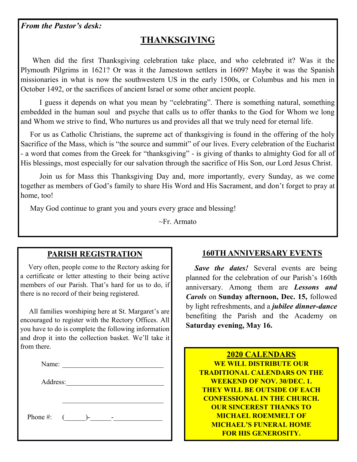#### *From the Pastor's desk:*

# **THANKSGIVING**

 When did the first Thanksgiving celebration take place, and who celebrated it? Was it the Plymouth Pilgrims in 1621? Or was it the Jamestown settlers in 1609? Maybe it was the Spanish missionaries in what is now the southwestern US in the early 1500s, or Columbus and his men in October 1492, or the sacrifices of ancient Israel or some other ancient people.

 I guess it depends on what you mean by "celebrating". There is something natural, something embedded in the human soul and psyche that calls us to offer thanks to the God for Whom we long and Whom we strive to find, Who nurtures us and provides all that we truly need for eternal life.

 For us as Catholic Christians, the supreme act of thanksgiving is found in the offering of the holy Sacrifice of the Mass, which is "the source and summit" of our lives. Every celebration of the Eucharist - a word that comes from the Greek for "thanksgiving" - is giving of thanks to almighty God for all of His blessings, most especially for our salvation through the sacrifice of His Son, our Lord Jesus Christ.

 Join us for Mass this Thanksgiving Day and, more importantly, every Sunday, as we come together as members of God's family to share His Word and His Sacrament, and don't forget to pray at home, too!

May God continue to grant you and yours every grace and blessing!

~Fr. Armato

#### **PARISH REGISTRATION**

 Very often, people come to the Rectory asking for a certificate or letter attesting to their being active members of our Parish. That's hard for us to do, if there is no record of their being registered.

 All families worshiping here at St. Margaret's are encouraged to register with the Rectory Offices. All you have to do is complete the following information and drop it into the collection basket. We'll take it from there.

| $\cdot$<br>. .<br> |  |  |  |
|--------------------|--|--|--|
|                    |  |  |  |

Address:

Phone #:  $($   $)$ -  $-$ 

## **160TH ANNIVERSARY EVENTS**

 *Save the dates!* Several events are being planned for the celebration of our Parish's 160th anniversary. Among them are *Lessons and Carols* on **Sunday afternoon, Dec. 15,** followed by light refreshments, and a *jubilee dinner-dance*  benefiting the Parish and the Academy on **Saturday evening, May 16.**

**2020 CALENDARS WE WILL DISTRIBUTE OUR TRADITIONAL CALENDARS ON THE WEEKEND OF NOV. 30/DEC. 1. THEY WILL BE OUTSIDE OF EACH CONFESSIONAL IN THE CHURCH. OUR SINCEREST THANKS TO MICHAEL ROEMMELT OF MICHAEL'S FUNERAL HOME FOR HIS GENEROSITY.**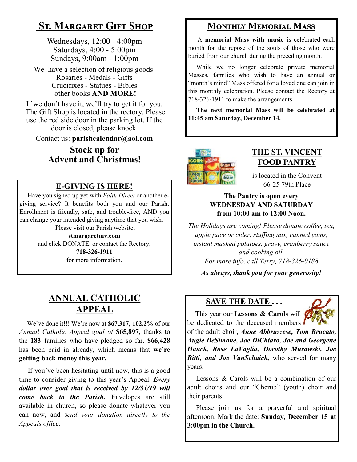# **St. Margaret Gift Shop**

Wednesdays, 12:00 - 4:00pm Saturdays, 4:00 - 5:00pm Sundays, 9:00am - 1:00pm

We have a selection of religious goods: Rosaries - Medals - Gifts Crucifixes - Statues - Bibles other books **AND MORE!**

If we don't have it, we'll try to get it for you. The Gift Shop is located in the rectory. Please use the red side door in the parking lot. If the door is closed, please knock.

Contact us: **parishcalendar@aol.com**

## **Stock up for Advent and Christmas!**

## **E-GIVING IS HERE!**

 Have you signed up yet with *Faith Direct* or another egiving service? It benefits both you and our Parish. Enrollment is friendly, safe, and trouble-free, AND you can change your intended giving anytime that you wish.

Please visit our Parish website, **stmargaretmv.com** and click DONATE, or contact the Rectory, **718-326-1911** for more information.

# **ANNUAL CATHOLIC APPEAL**

 We've done it!!! We're now at **\$67,317, 102.2%** of our *Annual Catholic Appeal goal of* **\$65,897**, thanks to the **183** families who have pledged so far. **\$66,428**  has been paid in already, which means that **we're getting back money this year.** 

 If you've been hesitating until now, this is a good time to consider giving to this year's Appeal. *Every dollar over goal that is received by 12/31/19 will come back to the Parish.* Envelopes are still available in church, so please donate whatever you can now, and s*end your donation directly to the Appeals office.*

## **Monthly Memorial Mass**

 A **memorial Mass with music** is celebrated each month for the repose of the souls of those who were buried from our church during the preceding month.

 While we no longer celebrate private memorial Masses, families who wish to have an annual or "month's mind" Mass offered for a loved one can join in this monthly celebration. Please contact the Rectory at 718-326-1911 to make the arrangements.

 **The next memorial Mass will be celebrated at 11:45 am Saturday, December 14.** 



#### **THE ST. VINCENT FOOD PANTRY**

is located in the Convent 66-25 79th Place

#### **The Pantry is open every WEDNESDAY AND SATURDAY from 10:00 am to 12:00 Noon.**

*The Holidays are coming! Please donate coffee, tea, apple juice or cider, stuffing mix, canned yams, instant mashed potatoes, gravy, cranberry sauce and cooking oil. For more info. call Terry, 718-326-0188*

*As always, thank you for your generosity!*

## **SAVE THE DATE . . .**

 This year our **Lessons & Carols** will be dedicated to the deceased members

of the adult choir, *Anne Abbruzzese, Tom Brucato, Augie DeSimone, Joe DiChiaro, Joe and Georgette Hauck, Rose LaVaglia, Dorothy Murawski, Joe Ritti, and Joe VanSchaick,* who served for many years.

 Lessons & Carols will be a combination of our adult choirs and our "Cherub" (youth) choir and their parents!

Please join us for a prayerful and spiritual afternoon. Mark the date: **Sunday, December 15 at 3:00pm in the Church.**